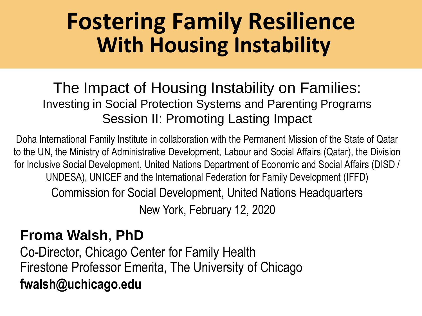## **Fostering Family Resilience With Housing Instability**

#### The Impact of Housing Instability on Families: Investing in Social Protection Systems and Parenting Programs Session II: Promoting Lasting Impact

Doha International Family Institute in collaboration with the Permanent Mission of the State of Qatar to the UN, the Ministry of Administrative Development, Labour and Social Affairs (Qatar), the Division for Inclusive Social Development, United Nations Department of Economic and Social Affairs (DISD / UNDESA), UNICEF and the International Federation for Family Development (IFFD)

Commission for Social Development, United Nations Headquarters

New York, February 12, 2020

#### **Froma Walsh**, **PhD**

Co-Director, Chicago Center for Family Health Firestone Professor Emerita, The University of Chicago **fwalsh@uchicago.edu**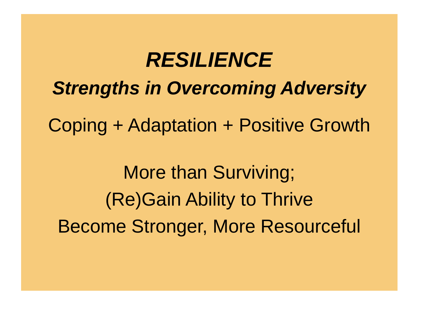*RESILIENCE Strengths in Overcoming Adversity* Coping + Adaptation + Positive Growth More than Surviving; (Re)Gain Ability to Thrive Become Stronger, More Resourceful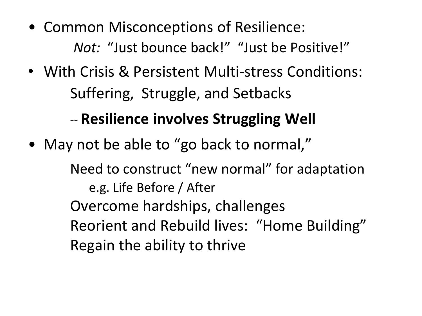- Common Misconceptions of Resilience: *Not:* "Just bounce back!" "Just be Positive!"
- With Crisis & Persistent Multi-stress Conditions: Suffering, Struggle, and Setbacks -- **Resilience involves Struggling Well**
- May not be able to "go back to normal,"

Need to construct "new normal" for adaptation e.g. Life Before / After Overcome hardships, challenges Reorient and Rebuild lives: "Home Building" Regain the ability to thrive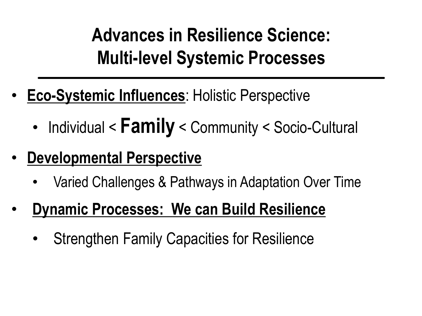**Advances in Resilience Science: Multi-level Systemic Processes**

- **Eco-Systemic Influences**: Holistic Perspective
	- Individual < **Family** < Community < Socio-Cultural
- **Developmental Perspective**
	- Varied Challenges & Pathways in Adaptation Over Time
- **Dynamic Processes: We can Build Resilience**
	- Strengthen Family Capacities for Resilience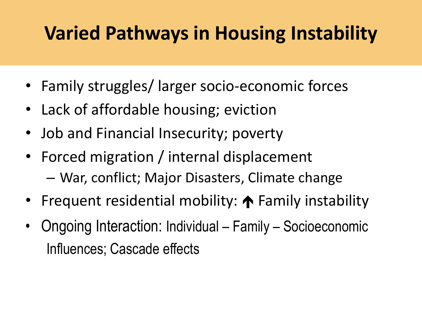## **Varied Pathways in Housing Instability**

- Family struggles/ larger socio-economic forces
- Lack of affordable housing; eviction
- Job and Financial Insecurity; poverty
- Forced migration / internal displacement – War, conflict; Major Disasters, Climate change
- Frequent residential mobility:  $\bigwedge$  Family instability
- Ongoing Interaction: Individual Family Socioeconomic Influences; Cascade effects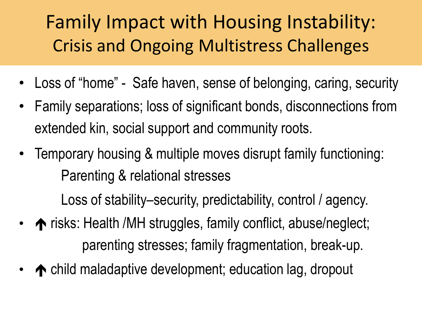## Family Impact with Housing Instability: Crisis and Ongoing Multistress Challenges

- Loss of "home" Safe haven, sense of belonging, caring, security
- Family separations; loss of significant bonds, disconnections from extended kin, social support and community roots.
- Temporary housing & multiple moves disrupt family functioning: Parenting & relational stresses

Loss of stability–security, predictability, control / agency.

- risks: Health /MH struggles, family conflict, abuse/neglect; parenting stresses; family fragmentation, break-up.
- ◆ child maladaptive development; education lag, dropout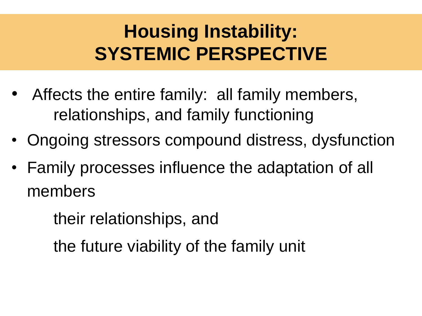## **Housing Instability: SYSTEMIC PERSPECTIVE**

- Affects the entire family: all family members, relationships, and family functioning
- Ongoing stressors compound distress, dysfunction
- Family processes influence the adaptation of all members

their relationships, and

the future viability of the family unit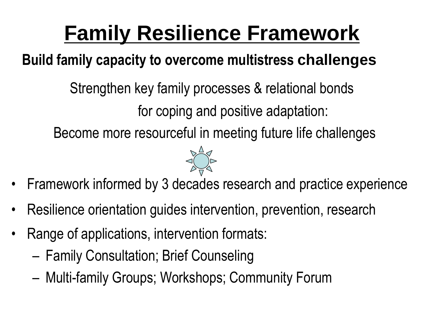# **Family Resilience Framework**

### **Build family capacity to overcome multistress challenges**

Strengthen key family processes & relational bonds for coping and positive adaptation: Become more resourceful in meeting future life challenges



- Framework informed by 3 decades research and practice experience
- Resilience orientation guides intervention, prevention, research
- Range of applications, intervention formats:
	- Family Consultation; Brief Counseling
	- Multi-family Groups; Workshops; Community Forum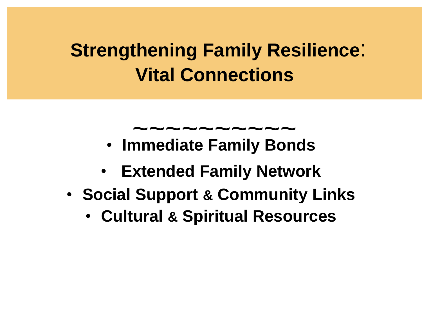## **Strengthening Family Resilience**: **Vital Connections**

# $\sim\sim\sim\sim\sim\sim\sim\sim\sim\sim$

- **Immediate Family Bonds**
- **Extended Family Network**
- **Social Support & Community Links**
	- **Cultural & Spiritual Resources**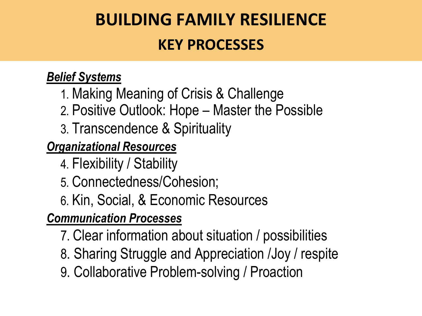## **BUILDING FAMILY RESILIENCE KEY PROCESSES**

#### *Belief Systems*

- 1. Making Meaning of Crisis & Challenge
- 2. Positive Outlook: Hope Master the Possible
- 3. Transcendence & Spirituality

#### *Organizational Resources*

4. Flexibility / Stability

- 5. Connectedness/Cohesion;
- 6. Kin, Social, & Economic Resources

#### *Communication Processes*

- 7. Clear information about situation / possibilities
- 8. Sharing Struggle and Appreciation /Joy / respite
- 9. Collaborative Problem-solving / Proaction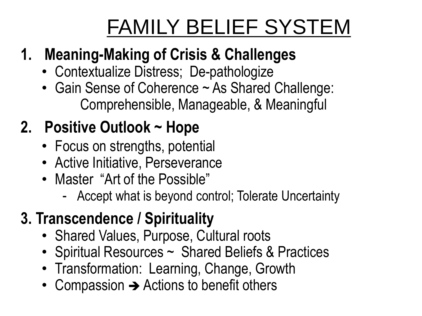# FAMILY BELIEF SYSTEM

### **1. Meaning-Making of Crisis & Challenges**

- Contextualize Distress; De-pathologize
- Gain Sense of Coherence ~ As Shared Challenge: Comprehensible, Manageable, & Meaningful

### **2. Positive Outlook ~ Hope**

- Focus on strengths, potential
- Active Initiative, Perseverance
- Master "Art of the Possible"
	- Accept what is beyond control; Tolerate Uncertainty

### **3. Transcendence / Spirituality**

- Shared Values, Purpose, Cultural roots
- Spiritual Resources ~ Shared Beliefs & Practices
- Transformation: Learning, Change, Growth
- Compassion  $\rightarrow$  Actions to benefit others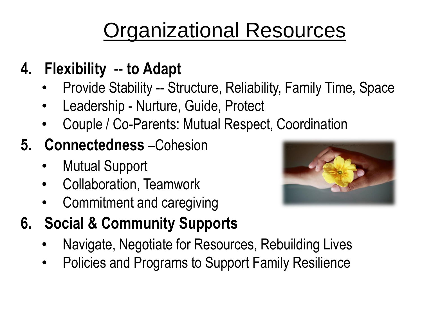# Organizational Resources

- **4. Flexibility** -- **to Adapt**
	- Provide Stability -- Structure, Reliability, Family Time, Space
	- Leadership Nurture, Guide, Protect
	- Couple / Co-Parents: Mutual Respect, Coordination
- **5. Connectedness** –Cohesion
	- Mutual Support
	- Collaboration, Teamwork
	- Commitment and caregiving
- **6. Social & Community Supports**
	- Navigate, Negotiate for Resources, Rebuilding Lives
	- Policies and Programs to Support Family Resilience

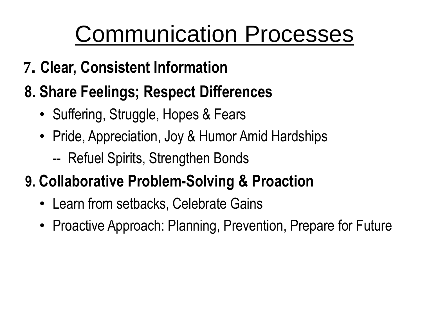# Communication Processes

- **7. Clear, Consistent Information**
- **8. Share Feelings; Respect Differences**
	- Suffering, Struggle, Hopes & Fears
	- Pride, Appreciation, Joy & Humor Amid Hardships
		- -- Refuel Spirits, Strengthen Bonds

### **9. Collaborative Problem-Solving & Proaction**

- Learn from setbacks, Celebrate Gains
- Proactive Approach: Planning, Prevention, Prepare for Future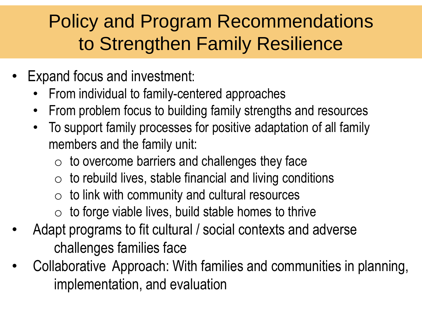### Policy and Program Recommendations to Strengthen Family Resilience

- Expand focus and investment:
	- From individual to family-centered approaches
	- From problem focus to building family strengths and resources
	- To support family processes for positive adaptation of all family members and the family unit:
		- $\circ$  to overcome barriers and challenges they face
		- $\circ$  to rebuild lives, stable financial and living conditions
		- $\circ$  to link with community and cultural resources
		- $\circ$  to forge viable lives, build stable homes to thrive
- Adapt programs to fit cultural / social contexts and adverse challenges families face
- Collaborative Approach: With families and communities in planning, implementation, and evaluation